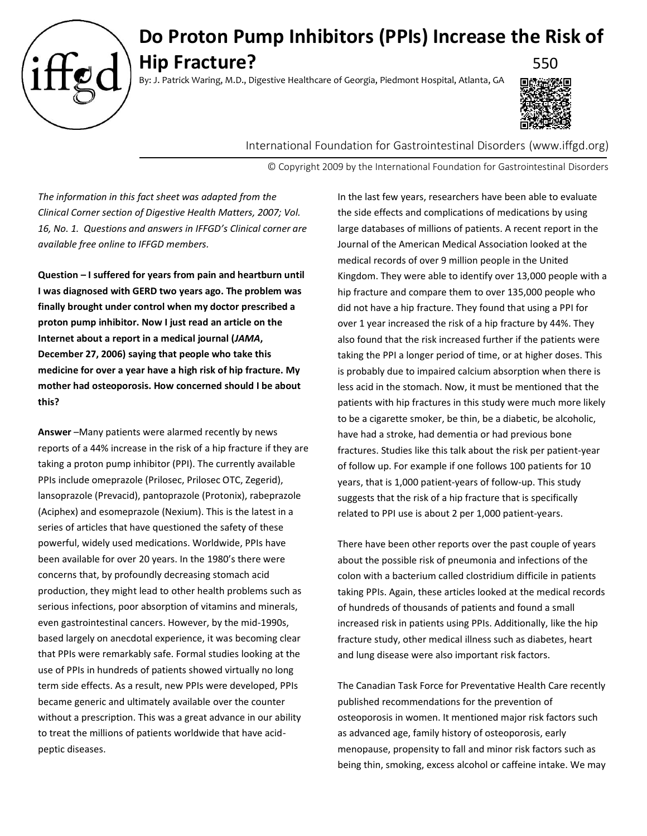

## **Do Proton Pump Inhibitors (PPIs) Increase the Risk of Hip Fracture?** 550

By: J. Patrick Waring, M.D., Digestive Healthcare of Georgia, Piedmont Hospital, Atlanta, GA



International Foundation for Gastrointestinal Disorders (www.iffgd.org)

© Copyright 2009 by the International Foundation for Gastrointestinal Disorders

*The information in this fact sheet was adapted from the Clinical Corner section of Digestive Health Matters, 2007; Vol. 16, No. 1. Questions and answers in IFFGD's Clinical corner are available free online to IFFGD members.*

**Question – I suffered for years from pain and heartburn until I was diagnosed with GERD two years ago. The problem was finally brought under control when my doctor prescribed a proton pump inhibitor. Now I just read an article on the Internet about a report in a medical journal (***JAMA***, December 27, 2006) saying that people who take this medicine for over a year have a high risk of hip fracture. My mother had osteoporosis. How concerned should I be about this?**

**Answer** –Many patients were alarmed recently by news reports of a 44% increase in the risk of a hip fracture if they are taking a proton pump inhibitor (PPI). The currently available PPIs include omeprazole (Prilosec, Prilosec OTC, Zegerid), lansoprazole (Prevacid), pantoprazole (Protonix), rabeprazole (Aciphex) and esomeprazole (Nexium). This is the latest in a series of articles that have questioned the safety of these powerful, widely used medications. Worldwide, PPIs have been available for over 20 years. In the 1980's there were concerns that, by profoundly decreasing stomach acid production, they might lead to other health problems such as serious infections, poor absorption of vitamins and minerals, even gastrointestinal cancers. However, by the mid-1990s, based largely on anecdotal experience, it was becoming clear that PPIs were remarkably safe. Formal studies looking at the use of PPIs in hundreds of patients showed virtually no long term side effects. As a result, new PPIs were developed, PPIs became generic and ultimately available over the counter without a prescription. This was a great advance in our ability to treat the millions of patients worldwide that have acidpeptic diseases.

In the last few years, researchers have been able to evaluate the side effects and complications of medications by using large databases of millions of patients. A recent report in the Journal of the American Medical Association looked at the medical records of over 9 million people in the United Kingdom. They were able to identify over 13,000 people with a hip fracture and compare them to over 135,000 people who did not have a hip fracture. They found that using a PPI for over 1 year increased the risk of a hip fracture by 44%. They also found that the risk increased further if the patients were taking the PPI a longer period of time, or at higher doses. This is probably due to impaired calcium absorption when there is less acid in the stomach. Now, it must be mentioned that the patients with hip fractures in this study were much more likely to be a cigarette smoker, be thin, be a diabetic, be alcoholic, have had a stroke, had dementia or had previous bone fractures. Studies like this talk about the risk per patient-year of follow up. For example if one follows 100 patients for 10 years, that is 1,000 patient-years of follow-up. This study suggests that the risk of a hip fracture that is specifically related to PPI use is about 2 per 1,000 patient-years.

There have been other reports over the past couple of years about the possible risk of pneumonia and infections of the colon with a bacterium called clostridium difficile in patients taking PPIs. Again, these articles looked at the medical records of hundreds of thousands of patients and found a small increased risk in patients using PPIs. Additionally, like the hip fracture study, other medical illness such as diabetes, heart and lung disease were also important risk factors.

The Canadian Task Force for Preventative Health Care recently published recommendations for the prevention of osteoporosis in women. It mentioned major risk factors such as advanced age, family history of osteoporosis, early menopause, propensity to fall and minor risk factors such as being thin, smoking, excess alcohol or caffeine intake. We may